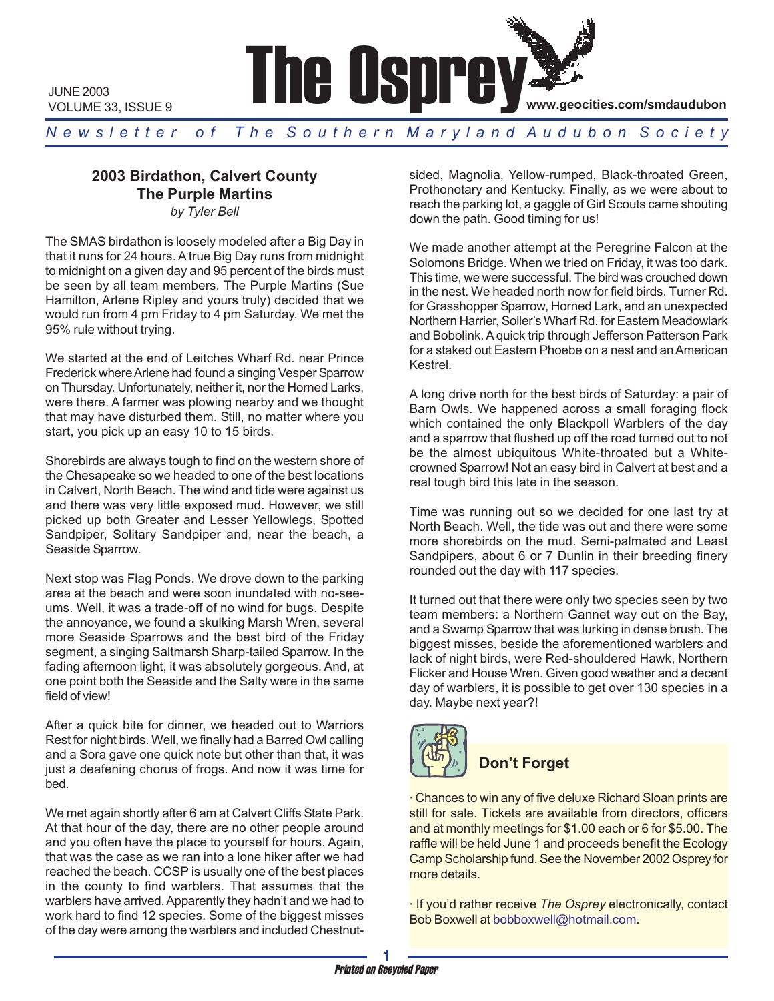

JUNE 2003 VOLUME 33, ISSUE 9

*N e w s l e t t e r o f T h e S o u t h e r n M a r y l a n d A u d u b o n S o c i e t y*

# **2003 Birdathon, Calvert County The Purple Martins**

*by Tyler Bell*

The SMAS birdathon is loosely modeled after a Big Day in that it runs for 24 hours. A true Big Day runs from midnight to midnight on a given day and 95 percent of the birds must be seen by all team members. The Purple Martins (Sue Hamilton, Arlene Ripley and yours truly) decided that we would run from 4 pm Friday to 4 pm Saturday. We met the 95% rule without trying.

We started at the end of Leitches Wharf Rd. near Prince Frederick where Arlene had found a singing Vesper Sparrow on Thursday. Unfortunately, neither it, nor the Horned Larks, were there. A farmer was plowing nearby and we thought that may have disturbed them. Still, no matter where you start, you pick up an easy 10 to 15 birds.

Shorebirds are always tough to find on the western shore of the Chesapeake so we headed to one of the best locations in Calvert, North Beach. The wind and tide were against us and there was very little exposed mud. However, we still picked up both Greater and Lesser Yellowlegs, Spotted Sandpiper, Solitary Sandpiper and, near the beach, a Seaside Sparrow.

Next stop was Flag Ponds. We drove down to the parking area at the beach and were soon inundated with no-seeums. Well, it was a trade-off of no wind for bugs. Despite the annoyance, we found a skulking Marsh Wren, several more Seaside Sparrows and the best bird of the Friday segment, a singing Saltmarsh Sharp-tailed Sparrow. In the fading afternoon light, it was absolutely gorgeous. And, at one point both the Seaside and the Salty were in the same field of view!

After a quick bite for dinner, we headed out to Warriors Rest for night birds. Well, we finally had a Barred Owl calling and a Sora gave one quick note but other than that, it was just a deafening chorus of frogs. And now it was time for bed.

We met again shortly after 6 am at Calvert Cliffs State Park. At that hour of the day, there are no other people around and you often have the place to yourself for hours. Again, that was the case as we ran into a lone hiker after we had reached the beach. CCSP is usually one of the best places in the county to find warblers. That assumes that the warblers have arrived. Apparently they hadn't and we had to work hard to find 12 species. Some of the biggest misses of the day were among the warblers and included Chestnutsided, Magnolia, Yellow-rumped, Black-throated Green, Prothonotary and Kentucky. Finally, as we were about to reach the parking lot, a gaggle of Girl Scouts came shouting down the path. Good timing for us!

We made another attempt at the Peregrine Falcon at the Solomons Bridge. When we tried on Friday, it was too dark. This time, we were successful. The bird was crouched down in the nest. We headed north now for field birds. Turner Rd. for Grasshopper Sparrow, Horned Lark, and an unexpected Northern Harrier, Soller's Wharf Rd. for Eastern Meadowlark and Bobolink. A quick trip through Jefferson Patterson Park for a staked out Eastern Phoebe on a nest and an American Kestrel.

A long drive north for the best birds of Saturday: a pair of Barn Owls. We happened across a small foraging flock which contained the only Blackpoll Warblers of the day and a sparrow that flushed up off the road turned out to not be the almost ubiquitous White-throated but a Whitecrowned Sparrow! Not an easy bird in Calvert at best and a real tough bird this late in the season.

Time was running out so we decided for one last try at North Beach. Well, the tide was out and there were some more shorebirds on the mud. Semi-palmated and Least Sandpipers, about 6 or 7 Dunlin in their breeding finery rounded out the day with 117 species.

It turned out that there were only two species seen by two team members: a Northern Gannet way out on the Bay, and a Swamp Sparrow that was lurking in dense brush. The biggest misses, beside the aforementioned warblers and lack of night birds, were Red-shouldered Hawk, Northern Flicker and House Wren. Given good weather and a decent day of warblers, it is possible to get over 130 species in a day. Maybe next year?!



# **Don't Forget**

· Chances to win any of five deluxe Richard Sloan prints are still for sale. Tickets are available from directors, officers and at monthly meetings for \$1.00 each or 6 for \$5.00. The raffle will be held June 1 and proceeds benefit the Ecology Camp Scholarship fund. See the November 2002 Osprey for more details.

· If you'd rather receive *The Osprey* electronically, contact Bob Boxwell at bobboxwell@hotmail.com.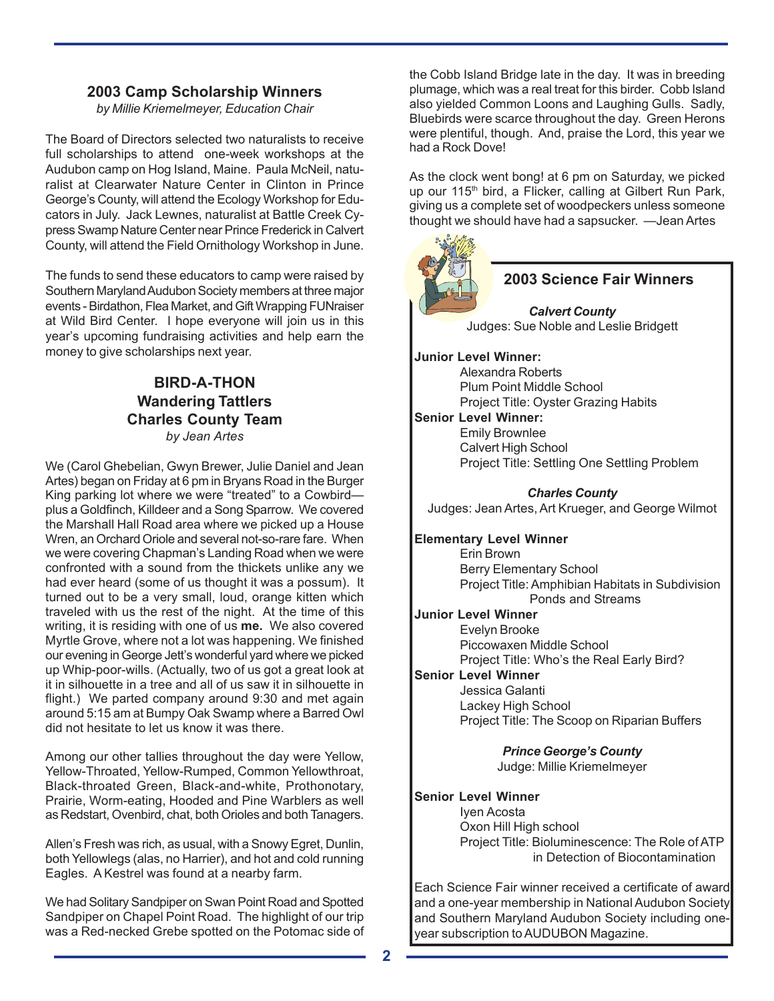## **2003 Camp Scholarship Winners**

*by Millie Kriemelmeyer, Education Chair*

The Board of Directors selected two naturalists to receive full scholarships to attend one-week workshops at the Audubon camp on Hog Island, Maine. Paula McNeil, naturalist at Clearwater Nature Center in Clinton in Prince George's County, will attend the Ecology Workshop for Educators in July. Jack Lewnes, naturalist at Battle Creek Cypress Swamp Nature Center near Prince Frederick in Calvert County, will attend the Field Ornithology Workshop in June.

The funds to send these educators to camp were raised by Southern Maryland Audubon Society members at three major events - Birdathon, Flea Market, and Gift Wrapping FUNraiser at Wild Bird Center. I hope everyone will join us in this year's upcoming fundraising activities and help earn the money to give scholarships next year.

## **BIRD-A-THON Wandering Tattlers Charles County Team** *by Jean Artes*

We (Carol Ghebelian, Gwyn Brewer, Julie Daniel and Jean Artes) began on Friday at 6 pm in Bryans Road in the Burger King parking lot where we were "treated" to a Cowbird plus a Goldfinch, Killdeer and a Song Sparrow. We covered the Marshall Hall Road area where we picked up a House Wren, an Orchard Oriole and several not-so-rare fare. When we were covering Chapman's Landing Road when we were confronted with a sound from the thickets unlike any we had ever heard (some of us thought it was a possum). It turned out to be a very small, loud, orange kitten which traveled with us the rest of the night. At the time of this writing, it is residing with one of us **me.** We also covered Myrtle Grove, where not a lot was happening. We finished our evening in George Jett's wonderful yard where we picked up Whip-poor-wills. (Actually, two of us got a great look at it in silhouette in a tree and all of us saw it in silhouette in flight.) We parted company around 9:30 and met again around 5:15 am at Bumpy Oak Swamp where a Barred Owl did not hesitate to let us know it was there.

Among our other tallies throughout the day were Yellow, Yellow-Throated, Yellow-Rumped, Common Yellowthroat, Black-throated Green, Black-and-white, Prothonotary, Prairie, Worm-eating, Hooded and Pine Warblers as well as Redstart, Ovenbird, chat, both Orioles and both Tanagers.

Allen's Fresh was rich, as usual, with a Snowy Egret, Dunlin, both Yellowlegs (alas, no Harrier), and hot and cold running Eagles. A Kestrel was found at a nearby farm.

We had Solitary Sandpiper on Swan Point Road and Spotted Sandpiper on Chapel Point Road. The highlight of our trip was a Red-necked Grebe spotted on the Potomac side of the Cobb Island Bridge late in the day. It was in breeding plumage, which was a real treat for this birder. Cobb Island also yielded Common Loons and Laughing Gulls. Sadly, Bluebirds were scarce throughout the day. Green Herons were plentiful, though. And, praise the Lord, this year we had a Rock Dove!

As the clock went bong! at 6 pm on Saturday, we picked up our 115<sup>th</sup> bird, a Flicker, calling at Gilbert Run Park, giving us a complete set of woodpeckers unless someone thought we should have had a sapsucker. —Jean Artes



# **2003 Science Fair Winners**

*Calvert County* Judges: Sue Noble and Leslie Bridgett

**Junior Level Winner:**

Alexandra Roberts Plum Point Middle School Project Title: Oyster Grazing Habits

## **Senior Level Winner:**

Emily Brownlee Calvert High School Project Title: Settling One Settling Problem

#### *Charles County*

Judges: Jean Artes, Art Krueger, and George Wilmot

**Elementary Level Winner**

Erin Brown Berry Elementary School Project Title: Amphibian Habitats in Subdivision Ponds and Streams

**Junior Level Winner** Evelyn Brooke Piccowaxen Middle School Project Title: Who's the Real Early Bird?

## **Senior Level Winner**

Jessica Galanti Lackey High School Project Title: The Scoop on Riparian Buffers

> *Prince George's County* Judge: Millie Kriemelmeyer

#### **Senior Level Winner**

Iyen Acosta Oxon Hill High school Project Title: Bioluminescence: The Role of ATP in Detection of Biocontamination

Each Science Fair winner received a certificate of award and a one-year membership in National Audubon Society and Southern Maryland Audubon Society including oneyear subscription to AUDUBON Magazine.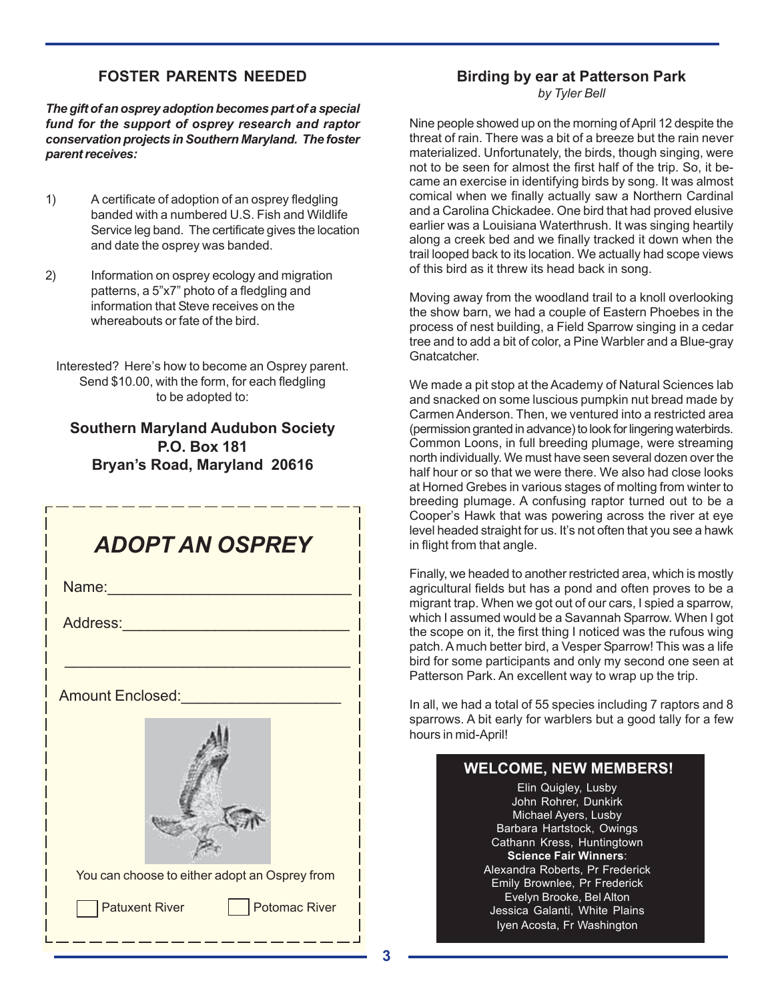# **FOSTER PARENTS NEEDED**

*The gift of an osprey adoption becomes part of a special fund for the support of osprey research and raptor conservation projects in Southern Maryland. The foster parent receives:*

- 1) A certificate of adoption of an osprey fledgling banded with a numbered U.S. Fish and Wildlife Service leg band. The certificate gives the location and date the osprey was banded.
- 2) Information on osprey ecology and migration patterns, a 5"x7" photo of a fledgling and information that Steve receives on the whereabouts or fate of the bird.

Interested? Here's how to become an Osprey parent. Send \$10.00, with the form, for each fledgling to be adopted to:

# **Southern Maryland Audubon Society P.O. Box 181 Bryan's Road, Maryland 20616**



# **Birding by ear at Patterson Park**

*by Tyler Bell*

Nine people showed up on the morning of April 12 despite the threat of rain. There was a bit of a breeze but the rain never materialized. Unfortunately, the birds, though singing, were not to be seen for almost the first half of the trip. So, it became an exercise in identifying birds by song. It was almost comical when we finally actually saw a Northern Cardinal and a Carolina Chickadee. One bird that had proved elusive earlier was a Louisiana Waterthrush. It was singing heartily along a creek bed and we finally tracked it down when the trail looped back to its location. We actually had scope views of this bird as it threw its head back in song.

Moving away from the woodland trail to a knoll overlooking the show barn, we had a couple of Eastern Phoebes in the process of nest building, a Field Sparrow singing in a cedar tree and to add a bit of color, a Pine Warbler and a Blue-gray Gnatcatcher.

We made a pit stop at the Academy of Natural Sciences lab and snacked on some luscious pumpkin nut bread made by Carmen Anderson. Then, we ventured into a restricted area (permission granted in advance) to look for lingering waterbirds. Common Loons, in full breeding plumage, were streaming north individually. We must have seen several dozen over the half hour or so that we were there. We also had close looks at Horned Grebes in various stages of molting from winter to breeding plumage. A confusing raptor turned out to be a Cooper's Hawk that was powering across the river at eye level headed straight for us. It's not often that you see a hawk in flight from that angle.

Finally, we headed to another restricted area, which is mostly agricultural fields but has a pond and often proves to be a migrant trap. When we got out of our cars, I spied a sparrow, which I assumed would be a Savannah Sparrow. When I got the scope on it, the first thing I noticed was the rufous wing patch. A much better bird, a Vesper Sparrow! This was a life bird for some participants and only my second one seen at Patterson Park. An excellent way to wrap up the trip.

In all, we had a total of 55 species including 7 raptors and 8 sparrows. A bit early for warblers but a good tally for a few hours in mid-April!

# **WELCOME, NEW MEMBERS!**

Elin Quigley, Lusby John Rohrer, Dunkirk Michael Ayers, Lusby Barbara Hartstock, Owings Cathann Kress, Huntingtown **Science Fair Winners**: Alexandra Roberts, Pr Frederick Emily Brownlee, Pr Frederick Evelyn Brooke, Bel Alton Jessica Galanti, White Plains Iyen Acosta, Fr Washington

**3**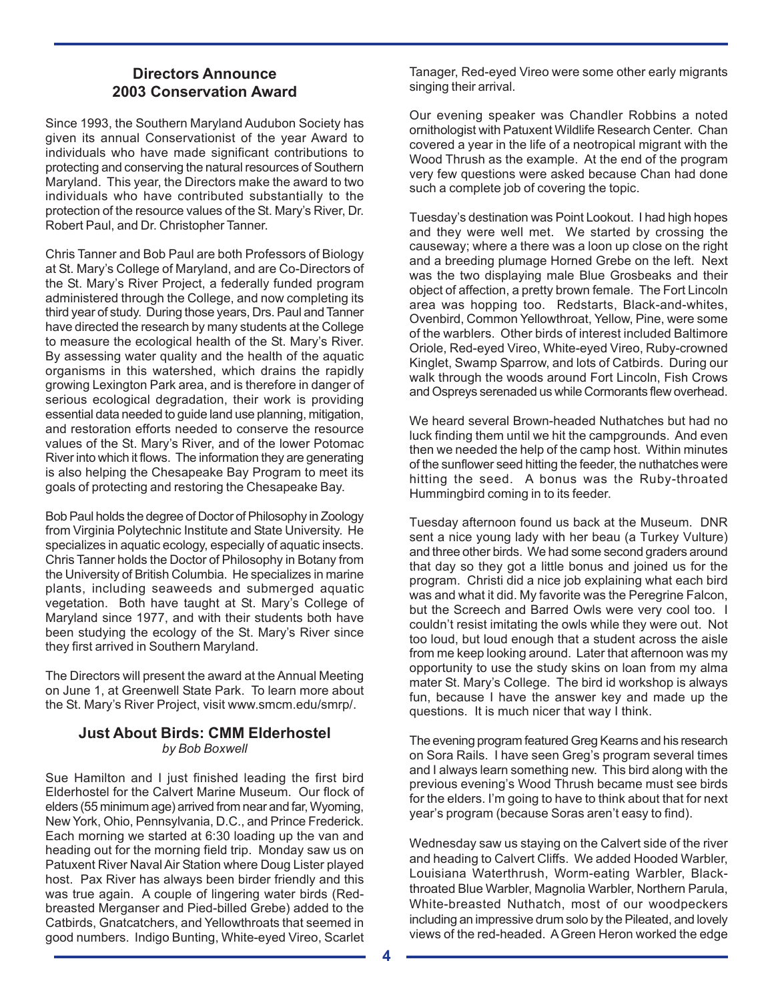## **Directors Announce 2003 Conservation Award**

Since 1993, the Southern Maryland Audubon Society has given its annual Conservationist of the year Award to individuals who have made significant contributions to protecting and conserving the natural resources of Southern Maryland. This year, the Directors make the award to two individuals who have contributed substantially to the protection of the resource values of the St. Mary's River, Dr. Robert Paul, and Dr. Christopher Tanner.

Chris Tanner and Bob Paul are both Professors of Biology at St. Mary's College of Maryland, and are Co-Directors of the St. Mary's River Project, a federally funded program administered through the College, and now completing its third year of study. During those years, Drs. Paul and Tanner have directed the research by many students at the College to measure the ecological health of the St. Mary's River. By assessing water quality and the health of the aquatic organisms in this watershed, which drains the rapidly growing Lexington Park area, and is therefore in danger of serious ecological degradation, their work is providing essential data needed to guide land use planning, mitigation, and restoration efforts needed to conserve the resource values of the St. Mary's River, and of the lower Potomac River into which it flows. The information they are generating is also helping the Chesapeake Bay Program to meet its goals of protecting and restoring the Chesapeake Bay.

Bob Paul holds the degree of Doctor of Philosophy in Zoology from Virginia Polytechnic Institute and State University. He specializes in aquatic ecology, especially of aquatic insects. Chris Tanner holds the Doctor of Philosophy in Botany from the University of British Columbia. He specializes in marine plants, including seaweeds and submerged aquatic vegetation. Both have taught at St. Mary's College of Maryland since 1977, and with their students both have been studying the ecology of the St. Mary's River since they first arrived in Southern Maryland.

The Directors will present the award at the Annual Meeting on June 1, at Greenwell State Park. To learn more about the St. Mary's River Project, visit www.smcm.edu/smrp/.

#### **Just About Birds: CMM Elderhostel** *by Bob Boxwell*

Sue Hamilton and I just finished leading the first bird Elderhostel for the Calvert Marine Museum. Our flock of elders (55 minimum age) arrived from near and far, Wyoming, New York, Ohio, Pennsylvania, D.C., and Prince Frederick. Each morning we started at 6:30 loading up the van and heading out for the morning field trip. Monday saw us on Patuxent River Naval Air Station where Doug Lister played host. Pax River has always been birder friendly and this was true again. A couple of lingering water birds (Redbreasted Merganser and Pied-billed Grebe) added to the Catbirds, Gnatcatchers, and Yellowthroats that seemed in good numbers. Indigo Bunting, White-eyed Vireo, Scarlet

Tanager, Red-eyed Vireo were some other early migrants singing their arrival.

Our evening speaker was Chandler Robbins a noted ornithologist with Patuxent Wildlife Research Center. Chan covered a year in the life of a neotropical migrant with the Wood Thrush as the example. At the end of the program very few questions were asked because Chan had done such a complete job of covering the topic.

Tuesday's destination was Point Lookout. I had high hopes and they were well met. We started by crossing the causeway; where a there was a loon up close on the right and a breeding plumage Horned Grebe on the left. Next was the two displaying male Blue Grosbeaks and their object of affection, a pretty brown female. The Fort Lincoln area was hopping too. Redstarts, Black-and-whites, Ovenbird, Common Yellowthroat, Yellow, Pine, were some of the warblers. Other birds of interest included Baltimore Oriole, Red-eyed Vireo, White-eyed Vireo, Ruby-crowned Kinglet, Swamp Sparrow, and lots of Catbirds. During our walk through the woods around Fort Lincoln, Fish Crows and Ospreys serenaded us while Cormorants flew overhead.

We heard several Brown-headed Nuthatches but had no luck finding them until we hit the campgrounds. And even then we needed the help of the camp host. Within minutes of the sunflower seed hitting the feeder, the nuthatches were hitting the seed. A bonus was the Ruby-throated Hummingbird coming in to its feeder.

Tuesday afternoon found us back at the Museum. DNR sent a nice young lady with her beau (a Turkey Vulture) and three other birds. We had some second graders around that day so they got a little bonus and joined us for the program. Christi did a nice job explaining what each bird was and what it did. My favorite was the Peregrine Falcon, but the Screech and Barred Owls were very cool too. I couldn't resist imitating the owls while they were out. Not too loud, but loud enough that a student across the aisle from me keep looking around. Later that afternoon was my opportunity to use the study skins on loan from my alma mater St. Mary's College. The bird id workshop is always fun, because I have the answer key and made up the questions. It is much nicer that way I think.

The evening program featured Greg Kearns and his research on Sora Rails. I have seen Greg's program several times and I always learn something new. This bird along with the previous evening's Wood Thrush became must see birds for the elders. I'm going to have to think about that for next year's program (because Soras aren't easy to find).

Wednesday saw us staying on the Calvert side of the river and heading to Calvert Cliffs. We added Hooded Warbler, Louisiana Waterthrush, Worm-eating Warbler, Blackthroated Blue Warbler, Magnolia Warbler, Northern Parula, White-breasted Nuthatch, most of our woodpeckers including an impressive drum solo by the Pileated, and lovely views of the red-headed. A Green Heron worked the edge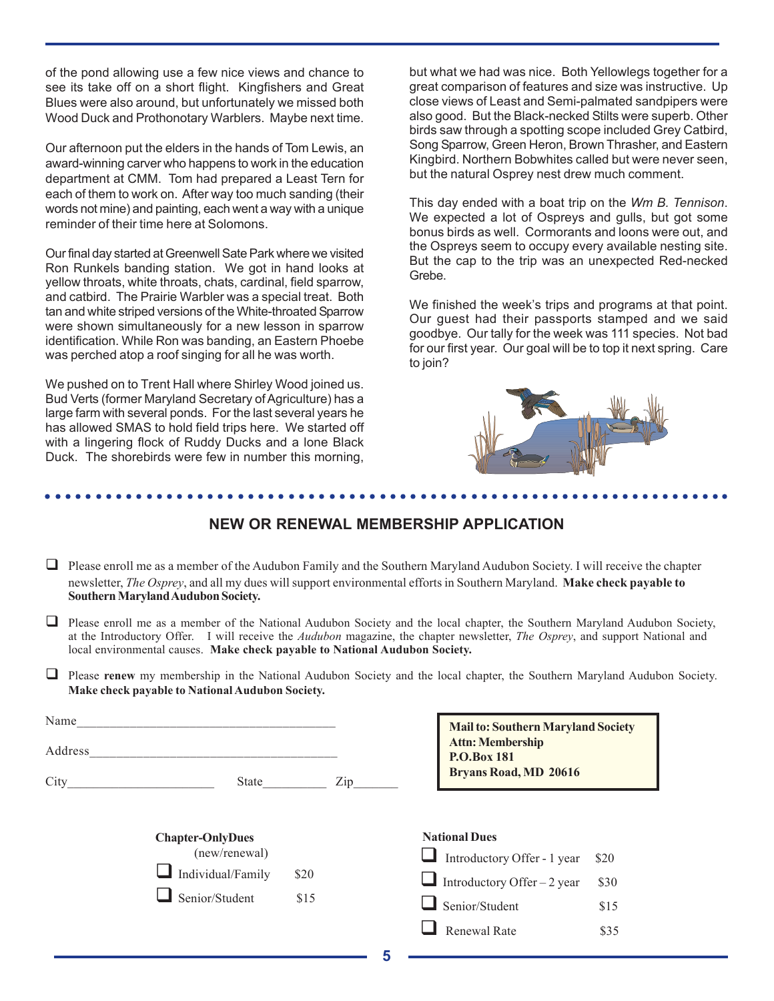of the pond allowing use a few nice views and chance to see its take off on a short flight. Kingfishers and Great Blues were also around, but unfortunately we missed both Wood Duck and Prothonotary Warblers. Maybe next time.

Our afternoon put the elders in the hands of Tom Lewis, an award-winning carver who happens to work in the education department at CMM. Tom had prepared a Least Tern for each of them to work on. After way too much sanding (their words not mine) and painting, each went a way with a unique reminder of their time here at Solomons.

Our final day started at Greenwell Sate Park where we visited Ron Runkels banding station. We got in hand looks at yellow throats, white throats, chats, cardinal, field sparrow, and catbird. The Prairie Warbler was a special treat. Both tan and white striped versions of the White-throated Sparrow were shown simultaneously for a new lesson in sparrow identification. While Ron was banding, an Eastern Phoebe was perched atop a roof singing for all he was worth.

We pushed on to Trent Hall where Shirley Wood joined us. Bud Verts (former Maryland Secretary of Agriculture) has a large farm with several ponds. For the last several years he has allowed SMAS to hold field trips here. We started off with a lingering flock of Ruddy Ducks and a lone Black Duck. The shorebirds were few in number this morning,

but what we had was nice. Both Yellowlegs together for a great comparison of features and size was instructive. Up close views of Least and Semi-palmated sandpipers were also good. But the Black-necked Stilts were superb. Other birds saw through a spotting scope included Grey Catbird, Song Sparrow, Green Heron, Brown Thrasher, and Eastern Kingbird. Northern Bobwhites called but were never seen, but the natural Osprey nest drew much comment.

This day ended with a boat trip on the *Wm B. Tennison*. We expected a lot of Ospreys and gulls, but got some bonus birds as well. Cormorants and loons were out, and the Ospreys seem to occupy every available nesting site. But the cap to the trip was an unexpected Red-necked Grebe.

We finished the week's trips and programs at that point. Our guest had their passports stamped and we said goodbye. Our tally for the week was 111 species. Not bad for our first year. Our goal will be to top it next spring. Care to join?



## **NEW OR RENEWAL MEMBERSHIP APPLICATION**

○○○○○○○○○○○○○○○○○○○○○○○○○○○○○○○○○○○○○○○○○○○○○ ○○○○○○○○○○○○○○○○○○○○○○○

- $\Box$  Please enroll me as a member of the Audubon Family and the Southern Maryland Audubon Society. I will receive the chapter newsletter, *The Osprey*, and all my dues will support environmental efforts in Southern Maryland. **Make check payable to Southern Maryland Audubon Society.**
- $\Box$  Please enroll me as a member of the National Audubon Society and the local chapter, the Southern Maryland Audubon Society, at the Introductory Offer.I will receive the *Audubon* magazine, the chapter newsletter, *The Osprey*, and support National and local environmental causes. **Make check payable to National Audubon Society.**
- **Please renew** my membership in the National Audubon Society and the local chapter, the Southern Maryland Audubon Society. **Make check payable to National Audubon Society.**

| Name<br>Address |                         |              |     | <b>Mail to: Southern Maryland Society</b><br><b>Attn: Membership</b><br><b>P.O.Box 181</b> |                              |      |
|-----------------|-------------------------|--------------|-----|--------------------------------------------------------------------------------------------|------------------------------|------|
| City            | State                   |              | Zip |                                                                                            | <b>Bryans Road, MD 20616</b> |      |
|                 | <b>Chapter-OnlyDues</b> |              |     | <b>National Dues</b>                                                                       |                              |      |
|                 | (new/renewal)           | \$20<br>\$15 |     |                                                                                            | Introductory Offer - 1 year  | \$20 |
|                 | Individual/Family       |              |     |                                                                                            | Introductory Offer $-2$ year | \$30 |
|                 | Senior/Student          |              |     |                                                                                            | Senior/Student               | \$15 |
|                 |                         |              |     |                                                                                            | Renewal Rate                 | \$35 |